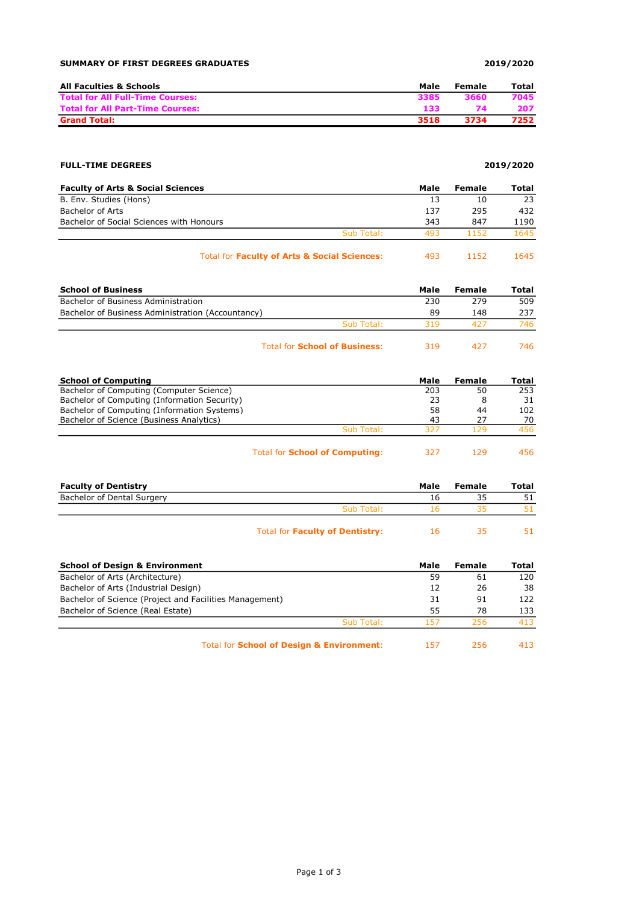### SUMMARY OF FIRST DEGREES GRADUATES 2019/2020

| All Faculties & Schools                 | Male | Female | Total |
|-----------------------------------------|------|--------|-------|
| <b>Total for All Full-Time Courses:</b> | 3385 | 3660   | 7045  |
| <b>Total for All Part-Time Courses:</b> | 133  | 74     | 207   |
| <b>Grand Total:</b>                     | 3518 | 3734   | 7252  |

### FULL-TIME DEGREES 2019/2020

| <b>Faculty of Arts &amp; Social Sciences</b> |            | Male                        | Female                      | Total |
|----------------------------------------------|------------|-----------------------------|-----------------------------|-------|
| B. Env. Studies (Hons)                       |            | 13                          | 10                          | 23    |
| Bachelor of Arts                             |            | 137                         | 295                         | 432   |
| Bachelor of Social Sciences with Honours     |            | 343                         | 847                         | 1190  |
|                                              | Sub Total: | 493                         | 1152                        | 1645  |
| _ _                                          |            | $\sim$ $\sim$ $\sim$ $\sim$ | $\sim$ $\sim$ $\sim$ $\sim$ | ----- |

| Total for Faculty of Arts & Social Sciences: | -493 | 1152 | 1645 |
|----------------------------------------------|------|------|------|
|----------------------------------------------|------|------|------|

| <b>School of Business</b>                         |                                      | Male | Female | Total |
|---------------------------------------------------|--------------------------------------|------|--------|-------|
| Bachelor of Business Administration               |                                      | 230  | 279    | 509   |
| Bachelor of Business Administration (Accountancy) |                                      | 89   | 148    | 237   |
|                                                   | Sub Total:                           | 319  | 427    | 746.  |
|                                                   | <b>Total for School of Business:</b> | 319  | 427    | 746.  |

| <b>School of Computing</b>                   | Male | Female | Total |
|----------------------------------------------|------|--------|-------|
| Bachelor of Computing (Computer Science)     | 203  | 50     | 253   |
| Bachelor of Computing (Information Security) | 23   |        | 31    |
| Bachelor of Computing (Information Systems)  | 58   | 44     | 102   |
| Bachelor of Science (Business Analytics)     | 43   | 27     | 70    |
| Sub Total:                                   | 327  | 129    | 456.  |
|                                              |      |        |       |

| Total for <b>School of Computing:</b> | 327 | 129 | 456 |
|---------------------------------------|-----|-----|-----|
|---------------------------------------|-----|-----|-----|

| <b>Faculty of Dentistry</b> |            | Male | Female | Total |
|-----------------------------|------------|------|--------|-------|
| Bachelor of Dental Surgery  |            | Ιb   |        |       |
|                             | Sub Total: |      |        |       |
|                             |            |      |        |       |

|  | 51 |
|--|----|
|  |    |

| <b>School of Design &amp; Environment</b>               |            | Male | Female | Total |
|---------------------------------------------------------|------------|------|--------|-------|
| Bachelor of Arts (Architecture)                         |            | 59   | 61     | 120   |
| Bachelor of Arts (Industrial Design)                    |            | 12   | 26     | 38    |
| Bachelor of Science (Project and Facilities Management) |            | 31   | 91     | 122   |
| Bachelor of Science (Real Estate)                       |            | 55   | 78     | 133   |
|                                                         | Sub Total: | 157  | 256    | 413   |
| Tatel for Calcael of Daniers O. Furthermore.htm         |            |      |        | 11 J  |

Total for School of Design & Environment: 157 256 413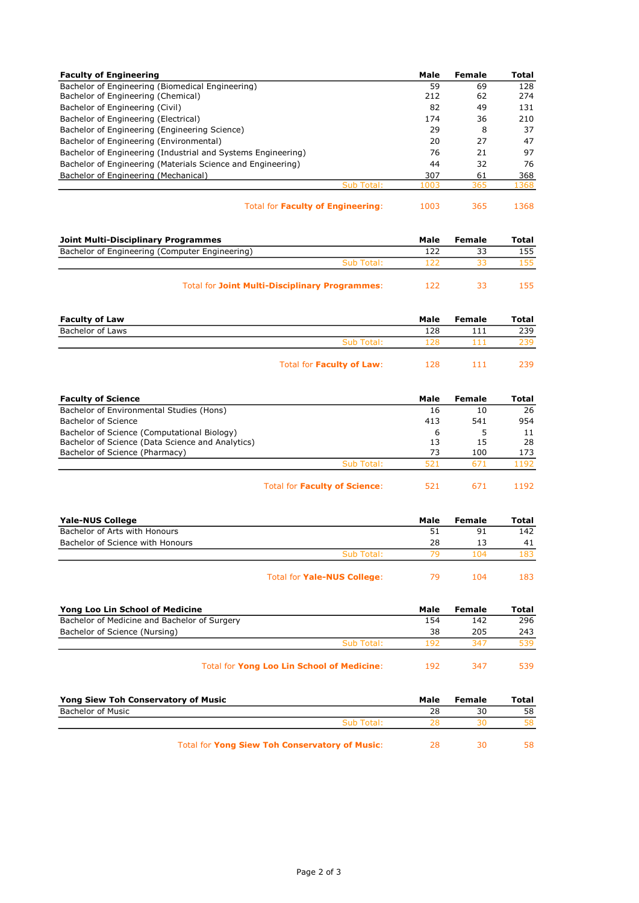| <b>Faculty of Engineering</b>                                |            | Male | Female | Total |
|--------------------------------------------------------------|------------|------|--------|-------|
| Bachelor of Engineering (Biomedical Engineering)             |            | 59   | 69     | 128   |
| Bachelor of Engineering (Chemical)                           |            | 212  | 62     | 274   |
| Bachelor of Engineering (Civil)                              |            | 82   | 49     | 131   |
| Bachelor of Engineering (Electrical)                         |            | 174  | 36     | 210   |
| Bachelor of Engineering (Engineering Science)                |            | 29   | 8      | 37    |
| Bachelor of Engineering (Environmental)                      |            | 20   | 27     | 47    |
| Bachelor of Engineering (Industrial and Systems Engineering) |            | 76   | 21     | 97    |
| Bachelor of Engineering (Materials Science and Engineering)  |            | 44   | 32     | 76    |
| Bachelor of Engineering (Mechanical)                         |            | 307  | 61     | 368   |
|                                                              | Sub Total: | 1003 | 365    | 1368  |
|                                                              |            |      |        |       |

Total for Faculty of Engineering: 1003 365 1368

| п |  |  |  |  |
|---|--|--|--|--|
|   |  |  |  |  |

| Joint Multi-Disciplinary Programmes<br>Bachelor of Engineering (Computer Engineering) |      | Female | Total |
|---------------------------------------------------------------------------------------|------|--------|-------|
|                                                                                       |      |        | 155   |
| Sub Total:                                                                            |      |        |       |
| <b>Total for Joint Multi-Disciplinary Programmes:</b>                                 | 1 フフ |        |       |

| <b>Faculty of Law</b> |                                  | Male | Female | Total |
|-----------------------|----------------------------------|------|--------|-------|
| Bachelor of Laws      |                                  | 128  |        | 239   |
|                       | Sub Total:                       | 128  |        | 239   |
|                       | Total for <b>Faculty of Law:</b> | 128  | 111    | 239.  |

| <b>Faculty of Science</b>                        |            | Male | Female | Total |
|--------------------------------------------------|------------|------|--------|-------|
| Bachelor of Environmental Studies (Hons)         |            | 16   | 10     | 26    |
| Bachelor of Science                              |            | 413  | 541    | 954   |
| Bachelor of Science (Computational Biology)      |            | 6    |        | 11    |
| Bachelor of Science (Data Science and Analytics) |            | 13   | 15     | 28    |
| Bachelor of Science (Pharmacy)                   |            | 73   | 100    | 173   |
|                                                  | Sub Total: | 521  | 671    | 1192  |
|                                                  |            |      |        |       |

| Total for Faculty of Science: | 521 | 671 | 1192 |
|-------------------------------|-----|-----|------|
|-------------------------------|-----|-----|------|

| Yale-NUS College                 |                                    | Male | Female | Total |
|----------------------------------|------------------------------------|------|--------|-------|
| Bachelor of Arts with Honours    |                                    | 51   | 91     | 142   |
| Bachelor of Science with Honours |                                    | 28   | 13     | 41    |
|                                  | Sub Total:                         | 70   | 104    | 183   |
|                                  | Total for <b>Yale-NUS College:</b> | 79   | 104    | 183.  |

| Yong Loo Lin School of Medicine                   |            | Male | Female | Total |
|---------------------------------------------------|------------|------|--------|-------|
| Bachelor of Medicine and Bachelor of Surgery      |            | 154  | 142    | 296   |
| Bachelor of Science (Nursing)                     |            | 38   | 205    | 243   |
|                                                   | Sub Total: | 192  | 347    | 539   |
| <b>Total for Yong Loo Lin School of Medicine:</b> |            | 192  | 347    | 539.  |

| Yong Siew Toh Conservatory of Music            |            | Male | Female | Total |
|------------------------------------------------|------------|------|--------|-------|
| <b>Bachelor of Music</b>                       |            | 28   | 30     | 58    |
|                                                | Sub Total: | 28   |        | 58.   |
| Total for Yong Siew Toh Conservatory of Music: |            | 28   | ٦Λ     | 58.   |